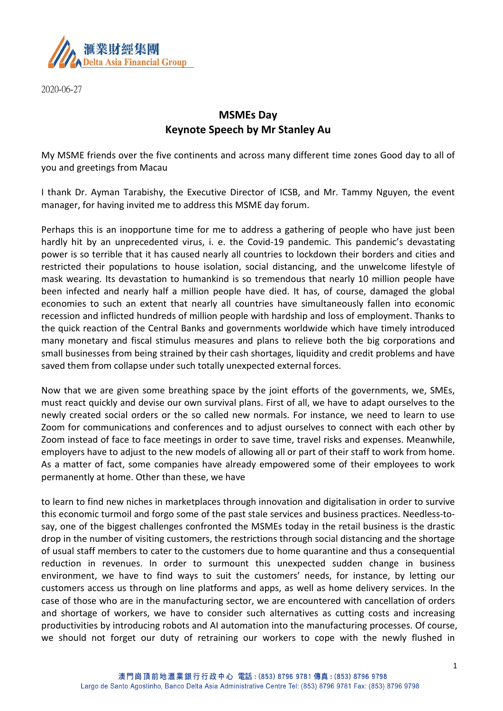

2020-06-27

## **MSMEs Day Keynote Speech by Mr Stanley Au**

My MSME friends over the five continents and across many different time zones Good day to all of you and greetings from Macau

I thank Dr. Ayman Tarabishy, the Executive Director of ICSB, and Mr. Tammy Nguyen, the event manager, for having invited me to address this MSME day forum.

Perhaps this is an inopportune time for me to address a gathering of people who have just been hardly hit by an unprecedented virus, i. e. the Covid-19 pandemic. This pandemic's devastating power is so terrible that it has caused nearly all countries to lockdown their borders and cities and restricted their populations to house isolation, social distancing, and the unwelcome lifestyle of mask wearing. Its devastation to humankind is so tremendous that nearly 10 million people have been infected and nearly half a million people have died. It has, of course, damaged the global economies to such an extent that nearly all countries have simultaneously fallen into economic recession and inflicted hundreds of million people with hardship and loss of employment. Thanks to the quick reaction of the Central Banks and governments worldwide which have timely introduced many monetary and fiscal stimulus measures and plans to relieve both the big corporations and small businesses from being strained by their cash shortages, liquidity and credit problems and have saved them from collapse under such totally unexpected external forces.

Now that we are given some breathing space by the joint efforts of the governments, we, SMEs, must react quickly and devise our own survival plans. First of all, we have to adapt ourselves to the newly created social orders or the so called new normals. For instance, we need to learn to use Zoom for communications and conferences and to adjust ourselves to connect with each other by Zoom instead of face to face meetings in order to save time, travel risks and expenses. Meanwhile, employers have to adjust to the new models of allowing all or part of their staff to work from home. As a matter of fact, some companies have already empowered some of their employees to work permanently at home. Other than these, we have

to learn to find new niches in marketplaces through innovation and digitalisation in order to survive this economic turmoil and forgo some of the past stale services and business practices. Needless-tosay, one of the biggest challenges confronted the MSMEs today in the retail business is the drastic drop in the number of visiting customers, the restrictions through social distancing and the shortage of usual staff members to cater to the customers due to home quarantine and thus a consequential reduction in revenues. In order to surmount this unexpected sudden change in business environment, we have to find ways to suit the customers' needs, for instance, by letting our customers access us through on line platforms and apps, as well as home delivery services. In the case of those who are in the manufacturing sector, we are encountered with cancellation of orders and shortage of workers, we have to consider such alternatives as cutting costs and increasing productivities by introducing robots and AI automation into the manufacturing processes. Of course, we should not forget our duty of retraining our workers to cope with the newly flushed in